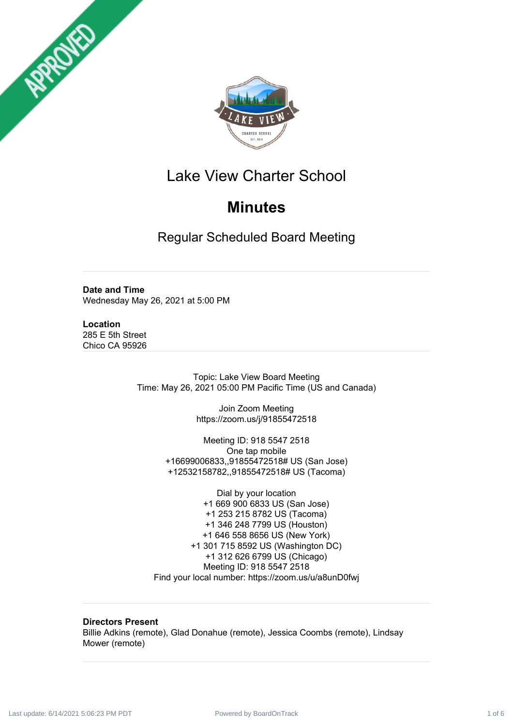



# Lake View Charter School

# **Minutes**

Regular Scheduled Board Meeting

# **Date and Time**

Wednesday May 26, 2021 at 5:00 PM

# **Location**

285 E 5th Street Chico CA 95926

> Topic: Lake View Board Meeting Time: May 26, 2021 05:00 PM Pacific Time (US and Canada)

> > Join Zoom Meeting https://zoom.us/j/91855472518

Meeting ID: 918 5547 2518 One tap mobile +16699006833,,91855472518# US (San Jose) +12532158782,,91855472518# US (Tacoma)

Dial by your location +1 669 900 6833 US (San Jose) +1 253 215 8782 US (Tacoma) +1 346 248 7799 US (Houston) +1 646 558 8656 US (New York) +1 301 715 8592 US (Washington DC) +1 312 626 6799 US (Chicago) Meeting ID: 918 5547 2518 Find your local number: https://zoom.us/u/a8unD0fwj

# **Directors Present**

Billie Adkins (remote), Glad Donahue (remote), Jessica Coombs (remote), Lindsay Mower (remote)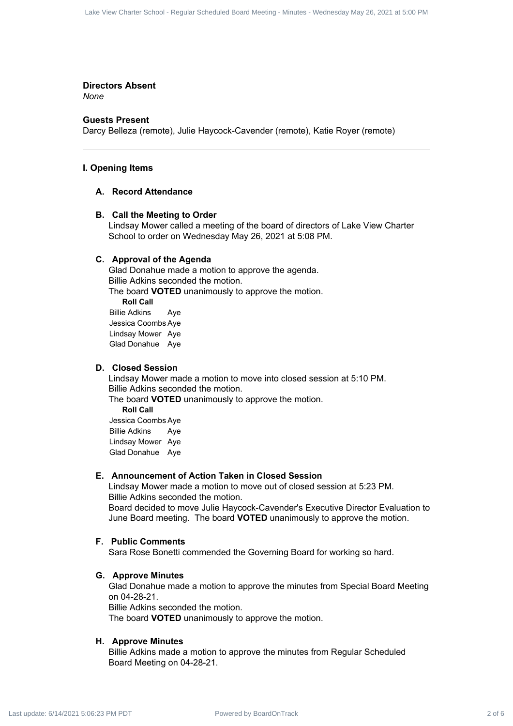#### **Directors Absent**

*None*

#### **Guests Present**

Darcy Belleza (remote), Julie Haycock-Cavender (remote), Katie Royer (remote)

#### **I. Opening Items**

#### **A. Record Attendance**

#### **B. Call the Meeting to Order**

Lindsay Mower called a meeting of the board of directors of Lake View Charter School to order on Wednesday May 26, 2021 at 5:08 PM.

#### **C. Approval of the Agenda**

Glad Donahue made a motion to approve the agenda. Billie Adkins seconded the motion. The board **VOTED** unanimously to approve the motion.

**Roll Call** Billie Adkins Aye Jessica Coombs Aye Lindsay Mower Aye Glad Donahue Aye

#### **D. Closed Session**

Lindsay Mower made a motion to move into closed session at 5:10 PM. Billie Adkins seconded the motion.

The board **VOTED** unanimously to approve the motion.

**Roll Call** Jessica Coombs Aye Billie Adkins Aye Lindsay Mower Aye Glad Donahue Aye

#### **E. Announcement of Action Taken in Closed Session**

Lindsay Mower made a motion to move out of closed session at 5:23 PM. Billie Adkins seconded the motion. Board decided to move Julie Haycock-Cavender's Executive Director Evaluation to June Board meeting. The board **VOTED** unanimously to approve the motion. Last vector de misions - Regular Schedule Board Charter Schedule Board Wiew Charter Schedule<br>
Olympics School - Regular School - Regular Schedules Charter Schedules - Minutes - Minutes - Minutes - Minutes - Minutes - Minu

#### **F. Public Comments**

Sara Rose Bonetti commended the Governing Board for working so hard.

#### **G. Approve Minutes**

Glad Donahue made a motion to approve the minutes from Special Board Meeting on 04-28-21. Billie Adkins seconded the motion.

The board **VOTED** unanimously to approve the motion.

#### **H. Approve Minutes**

Billie Adkins made a motion to approve the minutes from Regular Scheduled Board Meeting on 04-28-21.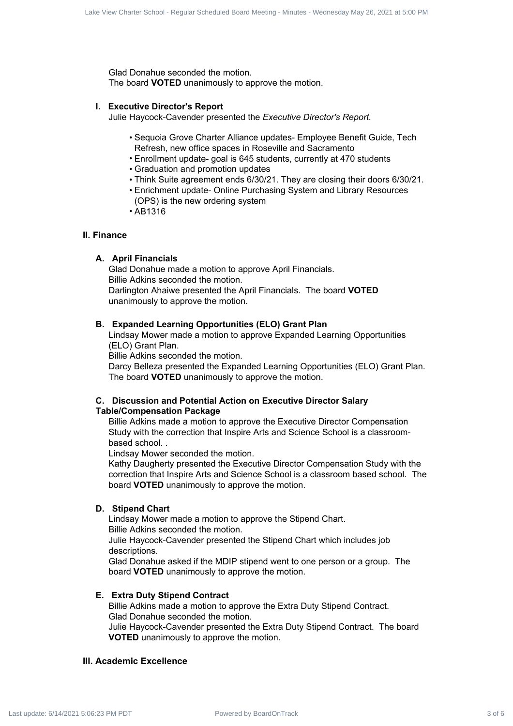Glad Donahue seconded the motion. The board **VOTED** unanimously to approve the motion.

#### **I. Executive Director's Report**

Julie Haycock-Cavender presented the *Executive Director's Report.*

- Sequoia Grove Charter Alliance updates- Employee Benefit Guide, Tech Refresh, new office spaces in Roseville and Sacramento
- Enrollment update- goal is 645 students, currently at 470 students
- Graduation and promotion updates
- Think Suite agreement ends 6/30/21. They are closing their doors 6/30/21.
- Enrichment update- Online Purchasing System and Library Resources (OPS) is the new ordering system
- AB1316

#### **II. Finance**

#### **A. April Financials**

Glad Donahue made a motion to approve April Financials. Billie Adkins seconded the motion. Darlington Ahaiwe presented the April Financials. The board **VOTED** unanimously to approve the motion. Universe Craig Board Charter Schedule Exchool 2 of 6 Lake View Charter Schedule Charter Schedule Charter School - Regular Schedule Schedule Schedule Schedule Schedule Schedule Schedule Schedule Schedule Schedule Schedule S

#### **B. Expanded Learning Opportunities (ELO) Grant Plan**

Lindsay Mower made a motion to approve Expanded Learning Opportunities (ELO) Grant Plan.

Billie Adkins seconded the motion.

Darcy Belleza presented the Expanded Learning Opportunities (ELO) Grant Plan. The board **VOTED** unanimously to approve the motion.

#### **C. Discussion and Potential Action on Executive Director Salary**

#### **Table/Compensation Package**

Billie Adkins made a motion to approve the Executive Director Compensation Study with the correction that Inspire Arts and Science School is a classroombased school. .

Lindsay Mower seconded the motion.

Kathy Daugherty presented the Executive Director Compensation Study with the correction that Inspire Arts and Science School is a classroom based school. The board **VOTED** unanimously to approve the motion.

#### **D. Stipend Chart**

Lindsay Mower made a motion to approve the Stipend Chart. Billie Adkins seconded the motion.

Julie Haycock-Cavender presented the Stipend Chart which includes job descriptions.

Glad Donahue asked if the MDIP stipend went to one person or a group. The board **VOTED** unanimously to approve the motion.

#### **E. Extra Duty Stipend Contract**

Billie Adkins made a motion to approve the Extra Duty Stipend Contract. Glad Donahue seconded the motion.

Julie Haycock-Cavender presented the Extra Duty Stipend Contract. The board **VOTED** unanimously to approve the motion.

## **III. Academic Excellence**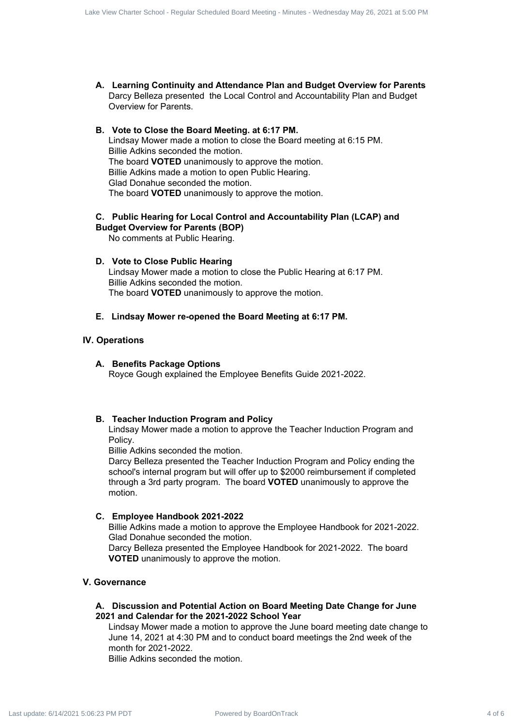**A. Learning Continuity and Attendance Plan and Budget Overview for Parents** Darcy Belleza presented the Local Control and Accountability Plan and Budget Overview for Parents.

#### **B. Vote to Close the Board Meeting. at 6:17 PM.**

Lindsay Mower made a motion to close the Board meeting at 6:15 PM. Billie Adkins seconded the motion. The board **VOTED** unanimously to approve the motion. Billie Adkins made a motion to open Public Hearing. Glad Donahue seconded the motion. The board **VOTED** unanimously to approve the motion. Universe Crack Entertainmuntant and Attentations 4 minutes Charter Schedule 2 of Finance<br>
A. Learning Continuum and Attentations Finance Meeting and Attentations and Activities of Scheduled Board Meeting and Attentations o

#### **C. Public Hearing for Local Control and Accountability Plan (LCAP) and Budget Overview for Parents (BOP)**

No comments at Public Hearing.

#### **D. Vote to Close Public Hearing**

Lindsay Mower made a motion to close the Public Hearing at 6:17 PM. Billie Adkins seconded the motion. The board **VOTED** unanimously to approve the motion.

#### **E. Lindsay Mower re-opened the Board Meeting at 6:17 PM.**

#### **IV. Operations**

### **A. Benefits Package Options**

Royce Gough explained the Employee Benefits Guide 2021-2022.

#### **B. Teacher Induction Program and Policy**

Lindsay Mower made a motion to approve the Teacher Induction Program and Policy.

Billie Adkins seconded the motion.

Darcy Belleza presented the Teacher Induction Program and Policy ending the school's internal program but will offer up to \$2000 reimbursement if completed through a 3rd party program. The board **VOTED** unanimously to approve the motion.

## **C. Employee Handbook 2021-2022**

Billie Adkins made a motion to approve the Employee Handbook for 2021-2022. Glad Donahue seconded the motion.

Darcy Belleza presented the Employee Handbook for 2021-2022. The board **VOTED** unanimously to approve the motion.

## **V. Governance**

#### **A. Discussion and Potential Action on Board Meeting Date Change for June 2021 and Calendar for the 2021-2022 School Year**

Lindsay Mower made a motion to approve the June board meeting date change to June 14, 2021 at 4:30 PM and to conduct board meetings the 2nd week of the month for 2021-2022.

Billie Adkins seconded the motion.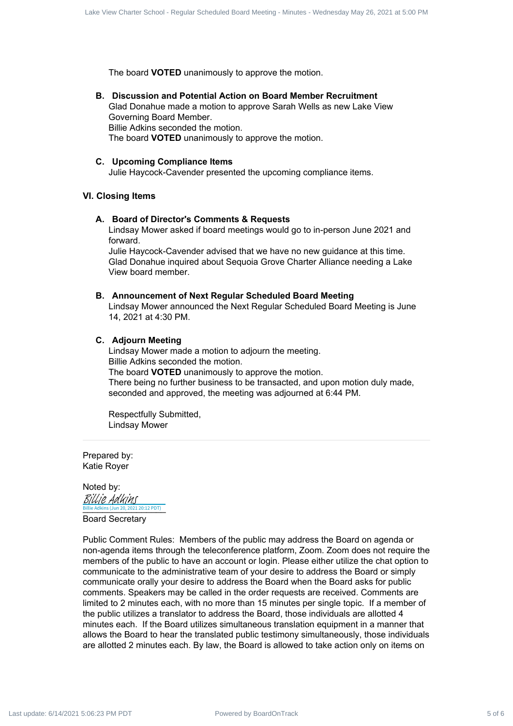The board **VOTED** unanimously to approve the motion.

**B. Discussion and Potential Action on Board Member Recruitment** Glad Donahue made a motion to approve Sarah Wells as new Lake View Governing Board Member. Billie Adkins seconded the motion. The board **VOTED** unanimously to approve the motion.

#### **C. Upcoming Compliance Items**

Julie Haycock-Cavender presented the upcoming compliance items.

#### **VI. Closing Items**

#### **A. Board of Director's Comments & Requests**

Lindsay Mower asked if board meetings would go to in-person June 2021 and forward.

Julie Haycock-Cavender advised that we have no new guidance at this time. Glad Donahue inquired about Sequoia Grove Charter Alliance needing a Lake View board member.

#### **B. Announcement of Next Regular Scheduled Board Meeting**

Lindsay Mower announced the Next Regular Scheduled Board Meeting is June 14, 2021 at 4:30 PM.

#### **C. Adjourn Meeting**

Lindsay Mower made a motion to adjourn the meeting. Billie Adkins seconded the motion. The board **VOTED** unanimously to approve the motion. There being no further business to be transacted, and upon motion duly made, seconded and approved, the meeting was adjourned at 6:44 PM.

Respectfully Submitted, Lindsay Mower

Prepared by: Katie Royer

Noted by: \_\_\_\_\_\_\_\_\_\_\_\_\_\_\_\_\_ Billie Adkins (Jun 20, 2021 20:12 PDT) Board Secretary [Billie Adkins](https://na2.documents.adobe.com/verifier?tx=CBJCHBCAABAAZSsxgiuJexg4ijuekNeJ9pjEbGPU1236)

Public Comment Rules: Members of the public may address the Board on agenda or non-agenda items through the teleconference platform, Zoom. Zoom does not require the members of the public to have an account or login. Please either utilize the chat option to communicate to the administrative team of your desire to address the Board or simply communicate orally your desire to address the Board when the Board asks for public comments. Speakers may be called in the order requests are received. Comments are limited to 2 minutes each, with no more than 15 minutes per single topic. If a member of the public utilizes a translator to address the Board, those individuals are allotted 4 minutes each. If the Board utilizes simultaneous translation equipment in a manner that allows the Board to hear the translated public testimony simultaneously, those individuals are allotted 2 minutes each. By law, the Board is allowed to take action only on items on Universe Contraction Figure Londont Exertistical Scheduled Real Contractions of 6 Care Charter School - Regular Scheduled Board Meeting - Regular Schedule Board Meeting - Minutes - Wednesday May 26, 2021 at 5:00 PM Last up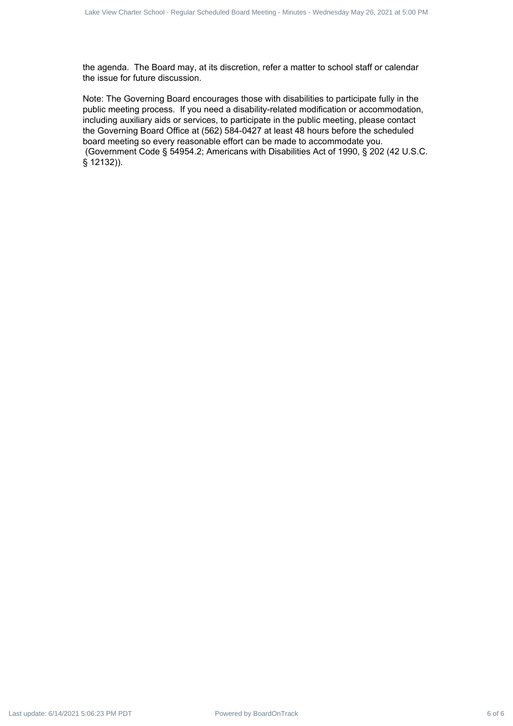the agenda. The Board may, at its discretion, refer a matter to school staff or calendar the issue for future discussion.

Note: The Governing Board encourages those with disabilities to participate fully in the public meeting process. If you need a disability-related modification or accommodation, including auxiliary aids or services, to participate in the public meeting, please contact the Governing Board Office at (562) 584-0427 at least 48 hours before the scheduled board meeting so every reasonable effort can be made to accommodate you. (Government Code § 54954.2; Americans with Disabilities Act of 1990, § 202 (42 U.S.C. § 12132)). Last view Charter Board Charter School 2 charter School - Regular School - Regular Schedule Charter School - Regular Schedule Board Meeting - Minutes - Wednesday May 26, 2021 at 5:00 PM Last update: 19 at 5:00 PM Last upd